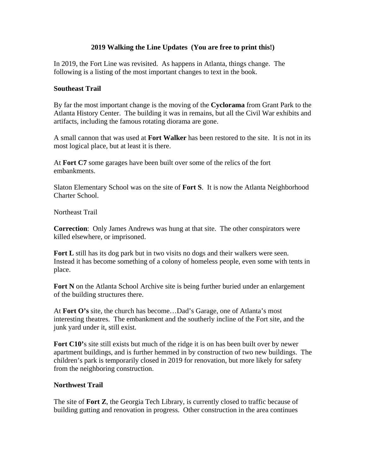## **2019 Walking the Line Updates (You are free to print this!)**

In 2019, the Fort Line was revisited. As happens in Atlanta, things change. The following is a listing of the most important changes to text in the book.

## **Southeast Trail**

By far the most important change is the moving of the **Cyclorama** from Grant Park to the Atlanta History Center. The building it was in remains, but all the Civil War exhibits and artifacts, including the famous rotating diorama are gone.

A small cannon that was used at **Fort Walker** has been restored to the site. It is not in its most logical place, but at least it is there.

At **Fort C7** some garages have been built over some of the relics of the fort embankments.

Slaton Elementary School was on the site of **Fort S**. It is now the Atlanta Neighborhood Charter School.

Northeast Trail

**Correction**: Only James Andrews was hung at that site. The other conspirators were killed elsewhere, or imprisoned.

**Fort L** still has its dog park but in two visits no dogs and their walkers were seen. Instead it has become something of a colony of homeless people, even some with tents in place.

**Fort N** on the Atlanta School Archive site is being further buried under an enlargement of the building structures there.

At **Fort O's** site, the church has become…Dad's Garage, one of Atlanta's most interesting theatres. The embankment and the southerly incline of the Fort site, and the junk yard under it, still exist.

**Fort C10'**s site still exists but much of the ridge it is on has been built over by newer apartment buildings, and is further hemmed in by construction of two new buildings. The children's park is temporarily closed in 2019 for renovation, but more likely for safety from the neighboring construction.

## **Northwest Trail**

The site of **Fort Z**, the Georgia Tech Library, is currently closed to traffic because of building gutting and renovation in progress. Other construction in the area continues